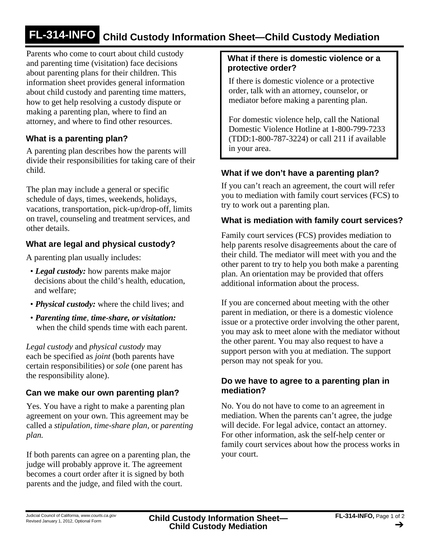# **FL-314-INFO Child Custody Information Sheet—Child Custody Mediation**

Parents who come to court about child custody and parenting time (visitation) face decisions about parenting plans for their children. This information sheet provides general information about child custody and parenting time matters, how to get help resolving a custody dispute or making a parenting plan, where to find an attorney, and where to find other resources.

## **What is a parenting plan?**

A parenting plan describes how the parents will divide their responsibilities for taking care of their child.

The plan may include a general or specific schedule of days, times, weekends, holidays, vacations, transportation, pick-up/drop-off, limits on travel, counseling and treatment services, and other details.

# **What are legal and physical custody?**

A parenting plan usually includes:

- *Legal custody:* how parents make major decisions about the child's health, education, and welfare;
- *Physical custody:* where the child lives; and
- *Parenting time, time-share, or visitation:* when the child spends time with each parent.

*Legal custody* and *physical custody* may each be specified as *joint* (both parents have certain responsibilities) or *sole* (one parent has the responsibility alone).

## **Can we make our own parenting plan?**

Yes. You have a right to make a parenting plan agreement on your own. This agreement may be called a *stipulation, time-share plan,* or *parenting plan.*

If both parents can agree on a parenting plan, the judge will probably approve it. The agreement becomes a court order after it is signed by both parents and the judge, and filed with the court.

#### **What if there is domestic violence or a protective order?**

If there is domestic violence or a protective order, talk with an attorney, counselor, or mediator before making a parenting plan.

For domestic violence help, call the National Domestic Violence Hotline at 1-800-799-7233 (TDD:1-800-787-3224) or call 211 if available in your area.

#### **What if we don't have a parenting plan?**

If you can't reach an agreement, the court will refer you to mediation with family court services (FCS) to try to work out a parenting plan.

#### **What is mediation with family court services?**

Family court services (FCS) provides mediation to help parents resolve disagreements about the care of their child. The mediator will meet with you and the other parent to try to help you both make a parenting plan. An orientation may be provided that offers additional information about the process.

If you are concerned about meeting with the other parent in mediation, or there is a domestic violence issue or a protective order involving the other parent, you may ask to meet alone with the mediator without the other parent. You may also request to have a support person with you at mediation. The support person may not speak for you.

#### **Do we have to agree to a parenting plan in mediation?**

No. You do not have to come to an agreement in mediation. When the parents can't agree, the judge will decide. For legal advice, contact an attorney. For other information, ask the self-help center or family court services about how the process works in your court.